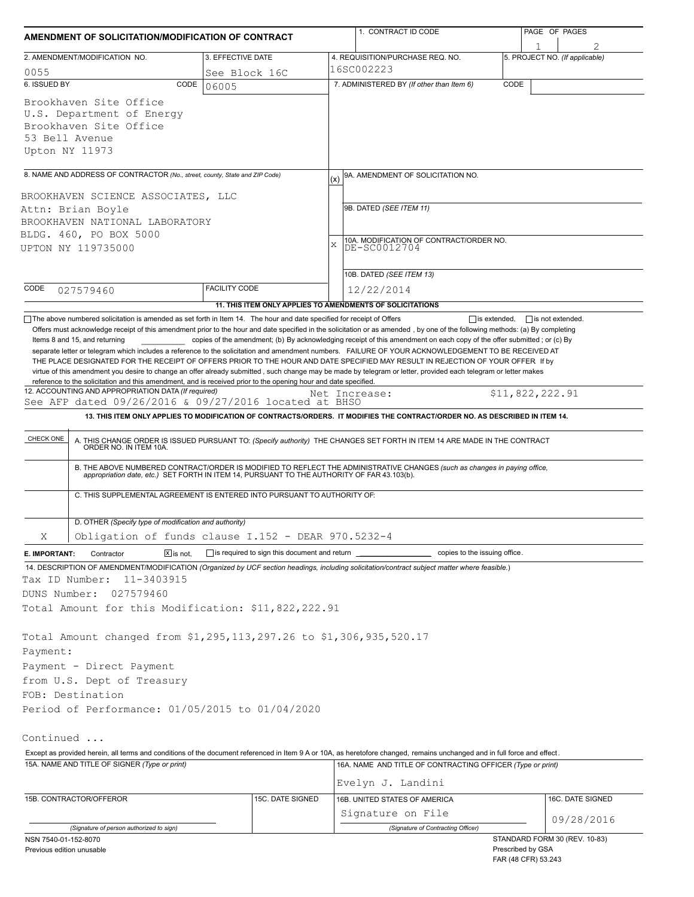| AMENDMENT OF SOLICITATION/MODIFICATION OF CONTRACT                                                                                                                                                                              |                                                           |               | 1. CONTRACT ID CODE                                                                                                         |                                            | PAGE OF PAGES                       |  |
|---------------------------------------------------------------------------------------------------------------------------------------------------------------------------------------------------------------------------------|-----------------------------------------------------------|---------------|-----------------------------------------------------------------------------------------------------------------------------|--------------------------------------------|-------------------------------------|--|
| 2. AMENDMENT/MODIFICATION NO.                                                                                                                                                                                                   | 3. EFFECTIVE DATE                                         |               | 4. REQUISITION/PURCHASE REQ. NO.                                                                                            |                                            | 1<br>5. PROJECT NO. (If applicable) |  |
| 0055                                                                                                                                                                                                                            | See Block 16C                                             | 16SC002223    |                                                                                                                             |                                            |                                     |  |
| 6. ISSUED BY<br>CODE                                                                                                                                                                                                            | 06005                                                     |               | 7. ADMINISTERED BY (If other than Item 6)                                                                                   | CODE                                       |                                     |  |
| Brookhaven Site Office<br>U.S. Department of Energy<br>Brookhaven Site Office<br>53 Bell Avenue<br>Upton NY 11973                                                                                                               |                                                           |               |                                                                                                                             |                                            |                                     |  |
| 8. NAME AND ADDRESS OF CONTRACTOR (No., street, county, State and ZIP Code)                                                                                                                                                     |                                                           | (x)           | 9A. AMENDMENT OF SOLICITATION NO.                                                                                           |                                            |                                     |  |
| BROOKHAVEN SCIENCE ASSOCIATES, LLC<br>Attn: Brian Boyle                                                                                                                                                                         |                                                           |               | 9B. DATED (SEE ITEM 11)                                                                                                     |                                            |                                     |  |
| BROOKHAVEN NATIONAL LABORATORY                                                                                                                                                                                                  |                                                           |               |                                                                                                                             |                                            |                                     |  |
| BLDG. 460, PO BOX 5000                                                                                                                                                                                                          |                                                           |               |                                                                                                                             |                                            |                                     |  |
| UPTON NY 119735000                                                                                                                                                                                                              |                                                           | X             | 10A. MODIFICATION OF CONTRACT/ORDER NO.<br>DE-SC0012704                                                                     |                                            |                                     |  |
|                                                                                                                                                                                                                                 |                                                           |               | 10B. DATED (SEE ITEM 13)                                                                                                    |                                            |                                     |  |
| CODE                                                                                                                                                                                                                            | <b>FACILITY CODE</b>                                      |               |                                                                                                                             |                                            |                                     |  |
| 027579460                                                                                                                                                                                                                       |                                                           |               | 12/22/2014                                                                                                                  |                                            |                                     |  |
| The above numbered solicitation is amended as set forth in Item 14. The hour and date specified for receipt of Offers                                                                                                           | 11. THIS ITEM ONLY APPLIES TO AMENDMENTS OF SOLICITATIONS |               |                                                                                                                             | $\Box$ is extended,                        | $\Box$ is not extended.             |  |
| reference to the solicitation and this amendment, and is received prior to the opening hour and date specified.<br>12. ACCOUNTING AND APPROPRIATION DATA (If required)<br>See AFP dated 09/26/2016 & 09/27/2016 located at BHSO |                                                           | Net Increase: | 13. THIS ITEM ONLY APPLIES TO MODIFICATION OF CONTRACTS/ORDERS. IT MODIFIES THE CONTRACT/ORDER NO. AS DESCRIBED IN ITEM 14. |                                            | \$11,822,222.91                     |  |
| CHECK ONE                                                                                                                                                                                                                       |                                                           |               |                                                                                                                             |                                            |                                     |  |
| A. THIS CHANGE ORDER IS ISSUED PURSUANT TO: (Specify authority) THE CHANGES SET FORTH IN ITEM 14 ARE MADE IN THE CONTRACT ORDER NO. IN ITEM 10A.                                                                                |                                                           |               |                                                                                                                             |                                            |                                     |  |
| B. THE ABOVE NUMBERED CONTRACT/ORDER IS MODIFIED TO REFLECT THE ADMINISTRATIVE CHANGES (such as changes in paying office, appropriation date, etc.) SET FORTH IN ITEM 14, PURSUANT TO THE AUTHORITY OF FAR 43.103(b).           |                                                           |               |                                                                                                                             |                                            |                                     |  |
| C. THIS SUPPLEMENTAL AGREEMENT IS ENTERED INTO PURSUANT TO AUTHORITY OF:                                                                                                                                                        |                                                           |               |                                                                                                                             |                                            |                                     |  |
| D. OTHER (Specify type of modification and authority)                                                                                                                                                                           |                                                           |               |                                                                                                                             |                                            |                                     |  |
| Obligation of funds clause I.152 - DEAR 970.5232-4<br>Χ                                                                                                                                                                         |                                                           |               |                                                                                                                             |                                            |                                     |  |
| $\boxed{\mathsf{X}}$ is not.<br>E. IMPORTANT:<br>Contractor                                                                                                                                                                     | is required to sign this document and return              |               | copies to the issuing office.                                                                                               |                                            |                                     |  |
| 14. DESCRIPTION OF AMENDMENT/MODIFICATION (Organized by UCF section headings, including solicitation/contract subject matter where feasible.)<br>Tax ID Number:<br>11-3403915                                                   |                                                           |               |                                                                                                                             |                                            |                                     |  |
| DUNS Number:<br>027579460                                                                                                                                                                                                       |                                                           |               |                                                                                                                             |                                            |                                     |  |
| Total Amount for this Modification: \$11,822,222.91                                                                                                                                                                             |                                                           |               |                                                                                                                             |                                            |                                     |  |
| Total Amount changed from \$1,295,113,297.26 to \$1,306,935,520.17                                                                                                                                                              |                                                           |               |                                                                                                                             |                                            |                                     |  |
| Payment:                                                                                                                                                                                                                        |                                                           |               |                                                                                                                             |                                            |                                     |  |
| Payment - Direct Payment                                                                                                                                                                                                        |                                                           |               |                                                                                                                             |                                            |                                     |  |
| from U.S. Dept of Treasury                                                                                                                                                                                                      |                                                           |               |                                                                                                                             |                                            |                                     |  |
| FOB: Destination                                                                                                                                                                                                                |                                                           |               |                                                                                                                             |                                            |                                     |  |
| Period of Performance: 01/05/2015 to 01/04/2020                                                                                                                                                                                 |                                                           |               |                                                                                                                             |                                            |                                     |  |
| Continued                                                                                                                                                                                                                       |                                                           |               |                                                                                                                             |                                            |                                     |  |
| Except as provided herein, all terms and conditions of the document referenced in Item 9 A or 10A, as heretofore changed, remains unchanged and in full force and effect.                                                       |                                                           |               |                                                                                                                             |                                            |                                     |  |
| 15A. NAME AND TITLE OF SIGNER (Type or print)                                                                                                                                                                                   |                                                           |               | 16A. NAME AND TITLE OF CONTRACTING OFFICER (Type or print)                                                                  |                                            |                                     |  |
|                                                                                                                                                                                                                                 |                                                           |               | Evelyn J. Landini                                                                                                           |                                            |                                     |  |
| 15B. CONTRACTOR/OFFEROR                                                                                                                                                                                                         | 15C. DATE SIGNED                                          |               | 16B. UNITED STATES OF AMERICA                                                                                               |                                            | 16C. DATE SIGNED                    |  |
|                                                                                                                                                                                                                                 |                                                           |               | Signature on File                                                                                                           |                                            | 09/28/2016                          |  |
| (Signature of person authorized to sign)                                                                                                                                                                                        |                                                           |               | (Signature of Contracting Officer)                                                                                          |                                            | STANDARD FORM 30 (REV. 10-83)       |  |
| NSN 7540-01-152-8070<br>Previous edition unusable                                                                                                                                                                               |                                                           |               |                                                                                                                             | Prescribed by GSA<br>$TAD(40 \nCFD) E2012$ |                                     |  |

FAR (48 CFR) 53.243